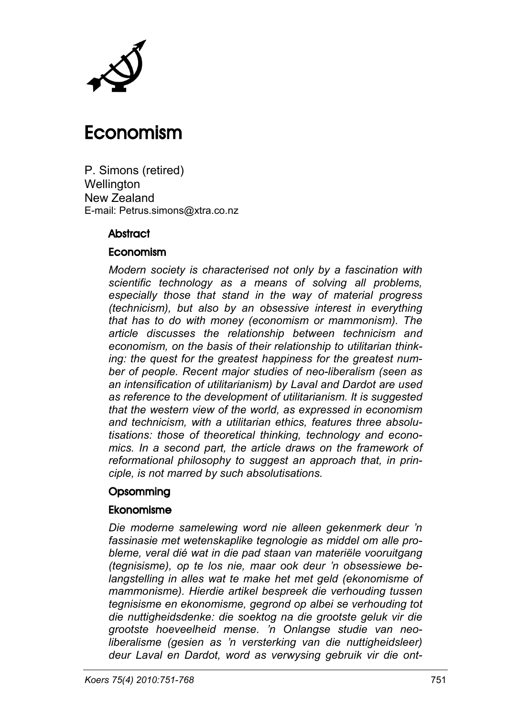

# Economism

P. Simons (retired) **Wellington** New Zealand E-mail: Petrus.simons@xtra.co.nz

#### **Abstract**

#### Economism

*Modern society is characterised not only by a fascination with scientific technology as a means of solving all problems, especially those that stand in the way of material progress (technicism), but also by an obsessive interest in everything that has to do with money (economism or mammonism). The article discusses the relationship between technicism and economism, on the basis of their relationship to utilitarian thinking: the quest for the greatest happiness for the greatest number of people. Recent major studies of neo-liberalism (seen as an intensification of utilitarianism) by Laval and Dardot are used as reference to the development of utilitarianism. It is suggested that the western view of the world, as expressed in economism and technicism, with a utilitarian ethics, features three absolutisations: those of theoretical thinking, technology and economics. In a second part, the article draws on the framework of reformational philosophy to suggest an approach that, in principle, is not marred by such absolutisations.*

#### **Opsomming**

#### Ekonomisme

*Die moderne samelewing word nie alleen gekenmerk deur 'n fassinasie met wetenskaplike tegnologie as middel om alle probleme, veral dié wat in die pad staan van materiële vooruitgang (tegnisisme), op te los nie, maar ook deur 'n obsessiewe belangstelling in alles wat te make het met geld (ekonomisme of mammonisme). Hierdie artikel bespreek die verhouding tussen tegnisisme en ekonomisme, gegrond op albei se verhouding tot die nuttigheidsdenke: die soektog na die grootste geluk vir die grootste hoeveelheid mense. 'n Onlangse studie van neoliberalisme (gesien as 'n versterking van die nuttigheidsleer) deur Laval en Dardot, word as verwysing gebruik vir die ont-*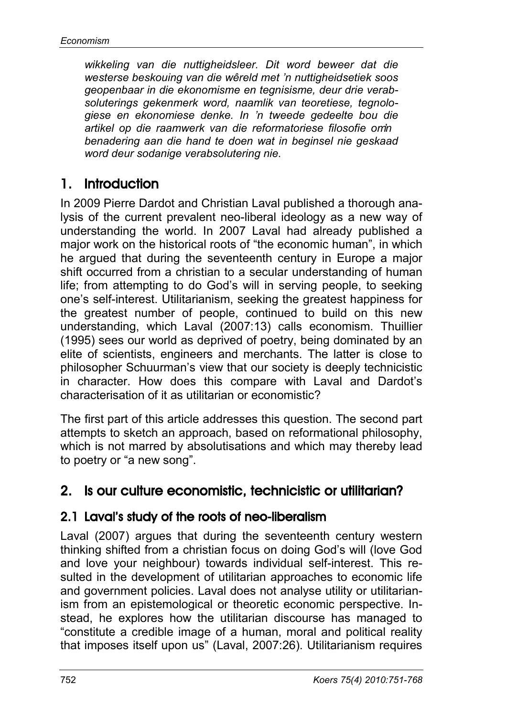*wikkeling van die nuttigheidsleer. Dit word beweer dat die westerse beskouing van die wêreld met 'n nuttigheidsetiek soos geopenbaar in die ekonomisme en tegnisisme, deur drie verabsoluterings gekenmerk word, naamlik van teoretiese, tegnologiese en ekonomiese denke. In 'n tweede gedeelte bou die artikel op die raamwerk van die reformatoriese filosofie om 'n benadering aan die hand te doen wat in beginsel nie geskaad word deur sodanige verabsolutering nie.*

# 1. Introduction

In 2009 Pierre Dardot and Christian Laval published a thorough analysis of the current prevalent neo-liberal ideology as a new way of understanding the world. In 2007 Laval had already published a major work on the historical roots of "the economic human", in which he argued that during the seventeenth century in Europe a major shift occurred from a christian to a secular understanding of human life; from attempting to do God's will in serving people, to seeking one's self-interest. Utilitarianism, seeking the greatest happiness for the greatest number of people, continued to build on this new understanding, which Laval (2007:13) calls economism. Thuillier (1995) sees our world as deprived of poetry, being dominated by an elite of scientists, engineers and merchants. The latter is close to philosopher Schuurman's view that our society is deeply technicistic in character. How does this compare with Laval and Dardot's characterisation of it as utilitarian or economistic?

The first part of this article addresses this question. The second part attempts to sketch an approach, based on reformational philosophy, which is not marred by absolutisations and which may thereby lead to poetry or "a new song".

# 2. Is our culture economistic, technicistic or utilitarian?

### 2.1 Laval's study of the roots of neo-liberalism

Laval (2007) argues that during the seventeenth century western thinking shifted from a christian focus on doing God's will (love God and love your neighbour) towards individual self-interest. This resulted in the development of utilitarian approaches to economic life and government policies. Laval does not analyse utility or utilitarianism from an epistemological or theoretic economic perspective. Instead, he explores how the utilitarian discourse has managed to "constitute a credible image of a human, moral and political reality that imposes itself upon us" (Laval, 2007:26). Utilitarianism requires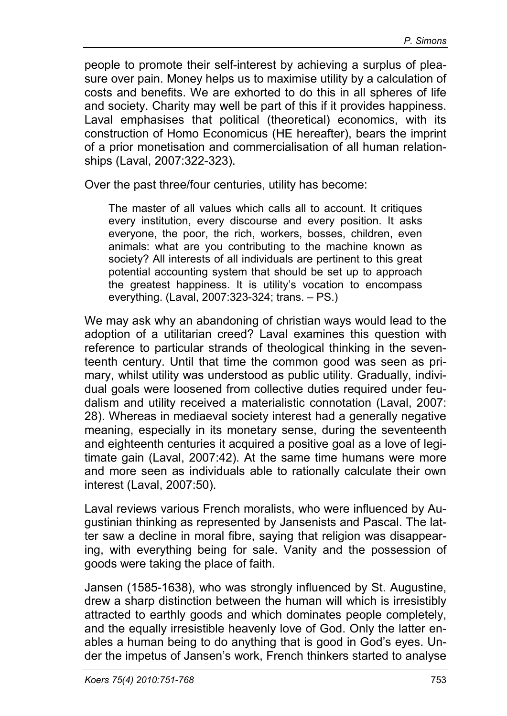people to promote their self-interest by achieving a surplus of pleasure over pain. Money helps us to maximise utility by a calculation of costs and benefits. We are exhorted to do this in all spheres of life and society. Charity may well be part of this if it provides happiness. Laval emphasises that political (theoretical) economics, with its construction of Homo Economicus (HE hereafter), bears the imprint of a prior monetisation and commercialisation of all human relationships (Laval, 2007:322-323).

Over the past three/four centuries, utility has become:

The master of all values which calls all to account. It critiques every institution, every discourse and every position. It asks everyone, the poor, the rich, workers, bosses, children, even animals: what are you contributing to the machine known as society? All interests of all individuals are pertinent to this great potential accounting system that should be set up to approach the greatest happiness. It is utility's vocation to encompass everything. (Laval, 2007:323-324; trans. – PS.)

We may ask why an abandoning of christian ways would lead to the adoption of a utilitarian creed? Laval examines this question with reference to particular strands of theological thinking in the seventeenth century. Until that time the common good was seen as primary, whilst utility was understood as public utility. Gradually, individual goals were loosened from collective duties required under feudalism and utility received a materialistic connotation (Laval, 2007: 28). Whereas in mediaeval society interest had a generally negative meaning, especially in its monetary sense, during the seventeenth and eighteenth centuries it acquired a positive goal as a love of legitimate gain (Laval, 2007:42). At the same time humans were more and more seen as individuals able to rationally calculate their own interest (Laval, 2007:50).

Laval reviews various French moralists, who were influenced by Augustinian thinking as represented by Jansenists and Pascal. The latter saw a decline in moral fibre, saying that religion was disappearing, with everything being for sale. Vanity and the possession of goods were taking the place of faith.

Jansen (1585-1638), who was strongly influenced by St. Augustine, drew a sharp distinction between the human will which is irresistibly attracted to earthly goods and which dominates people completely, and the equally irresistible heavenly love of God. Only the latter enables a human being to do anything that is good in God's eyes. Under the impetus of Jansen's work, French thinkers started to analyse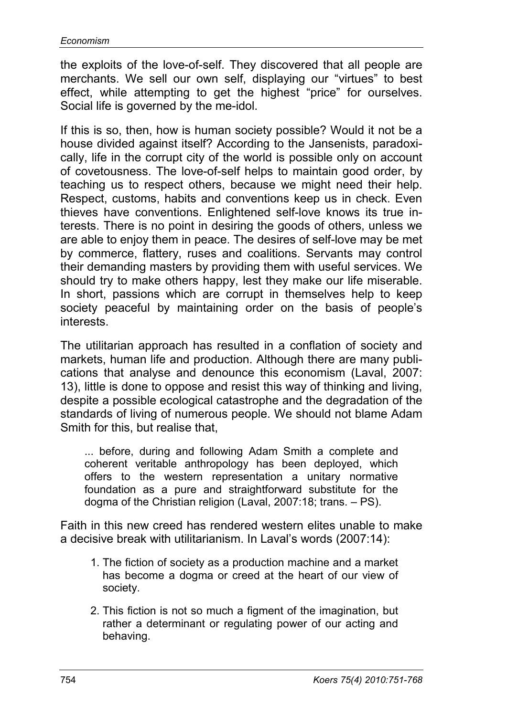the exploits of the love-of-self. They discovered that all people are merchants. We sell our own self, displaying our "virtues" to best effect, while attempting to get the highest "price" for ourselves. Social life is governed by the me-idol.

If this is so, then, how is human society possible? Would it not be a house divided against itself? According to the Jansenists, paradoxically, life in the corrupt city of the world is possible only on account of covetousness. The love-of-self helps to maintain good order, by teaching us to respect others, because we might need their help. Respect, customs, habits and conventions keep us in check. Even thieves have conventions. Enlightened self-love knows its true interests. There is no point in desiring the goods of others, unless we are able to enjoy them in peace. The desires of self-love may be met by commerce, flattery, ruses and coalitions. Servants may control their demanding masters by providing them with useful services. We should try to make others happy, lest they make our life miserable. In short, passions which are corrupt in themselves help to keep society peaceful by maintaining order on the basis of people's interests.

The utilitarian approach has resulted in a conflation of society and markets, human life and production. Although there are many publications that analyse and denounce this economism (Laval, 2007: 13), little is done to oppose and resist this way of thinking and living, despite a possible ecological catastrophe and the degradation of the standards of living of numerous people. We should not blame Adam Smith for this, but realise that,

... before, during and following Adam Smith a complete and coherent veritable anthropology has been deployed, which offers to the western representation a unitary normative foundation as a pure and straightforward substitute for the dogma of the Christian religion (Laval, 2007:18; trans. – PS).

Faith in this new creed has rendered western elites unable to make a decisive break with utilitarianism. In Laval's words (2007:14):

- 1. The fiction of society as a production machine and a market has become a dogma or creed at the heart of our view of society.
- 2. This fiction is not so much a figment of the imagination, but rather a determinant or regulating power of our acting and behaving.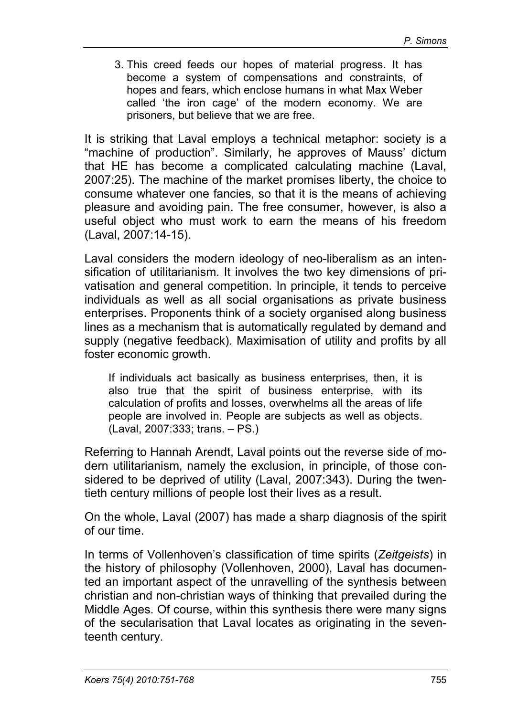3. This creed feeds our hopes of material progress. It has become a system of compensations and constraints, of hopes and fears, which enclose humans in what Max Weber called 'the iron cage' of the modern economy. We are prisoners, but believe that we are free.

It is striking that Laval employs a technical metaphor: society is a "machine of production". Similarly, he approves of Mauss' dictum that HE has become a complicated calculating machine (Laval, 2007:25). The machine of the market promises liberty, the choice to consume whatever one fancies, so that it is the means of achieving pleasure and avoiding pain. The free consumer, however, is also a useful object who must work to earn the means of his freedom (Laval, 2007:14-15).

Laval considers the modern ideology of neo-liberalism as an intensification of utilitarianism. It involves the two key dimensions of privatisation and general competition. In principle, it tends to perceive individuals as well as all social organisations as private business enterprises. Proponents think of a society organised along business lines as a mechanism that is automatically regulated by demand and supply (negative feedback). Maximisation of utility and profits by all foster economic growth.

If individuals act basically as business enterprises, then, it is also true that the spirit of business enterprise, with its calculation of profits and losses, overwhelms all the areas of life people are involved in. People are subjects as well as objects. (Laval, 2007:333; trans. – PS.)

Referring to Hannah Arendt, Laval points out the reverse side of modern utilitarianism, namely the exclusion, in principle, of those considered to be deprived of utility (Laval, 2007:343). During the twentieth century millions of people lost their lives as a result.

On the whole, Laval (2007) has made a sharp diagnosis of the spirit of our time.

In terms of Vollenhoven's classification of time spirits (*Zeitgeists*) in the history of philosophy (Vollenhoven, 2000), Laval has documented an important aspect of the unravelling of the synthesis between christian and non-christian ways of thinking that prevailed during the Middle Ages. Of course, within this synthesis there were many signs of the secularisation that Laval locates as originating in the seventeenth century.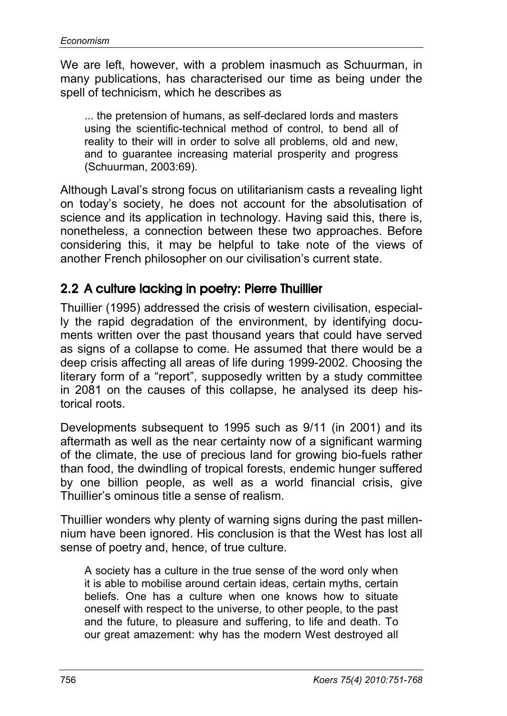We are left, however, with a problem inasmuch as Schuurman, in many publications, has characterised our time as being under the spell of technicism, which he describes as

... the pretension of humans, as self-declared lords and masters using the scientific-technical method of control, to bend all of reality to their will in order to solve all problems, old and new, and to guarantee increasing material prosperity and progress (Schuurman, 2003:69).

Although Laval's strong focus on utilitarianism casts a revealing light on today's society, he does not account for the absolutisation of science and its application in technology. Having said this, there is, nonetheless, a connection between these two approaches. Before considering this, it may be helpful to take note of the views of another French philosopher on our civilisation's current state.

### 2.2 A culture lacking in poetry: Pierre Thuillier

Thuillier (1995) addressed the crisis of western civilisation, especially the rapid degradation of the environment, by identifying documents written over the past thousand years that could have served as signs of a collapse to come. He assumed that there would be a deep crisis affecting all areas of life during 1999-2002. Choosing the literary form of a "report", supposedly written by a study committee in 2081 on the causes of this collapse, he analysed its deep historical roots.

Developments subsequent to 1995 such as 9/11 (in 2001) and its aftermath as well as the near certainty now of a significant warming of the climate, the use of precious land for growing bio-fuels rather than food, the dwindling of tropical forests, endemic hunger suffered by one billion people, as well as a world financial crisis, give Thuillier's ominous title a sense of realism.

Thuillier wonders why plenty of warning signs during the past millennium have been ignored. His conclusion is that the West has lost all sense of poetry and, hence, of true culture.

A society has a culture in the true sense of the word only when it is able to mobilise around certain ideas, certain myths, certain beliefs. One has a culture when one knows how to situate oneself with respect to the universe, to other people, to the past and the future, to pleasure and suffering, to life and death. To our great amazement: why has the modern West destroyed all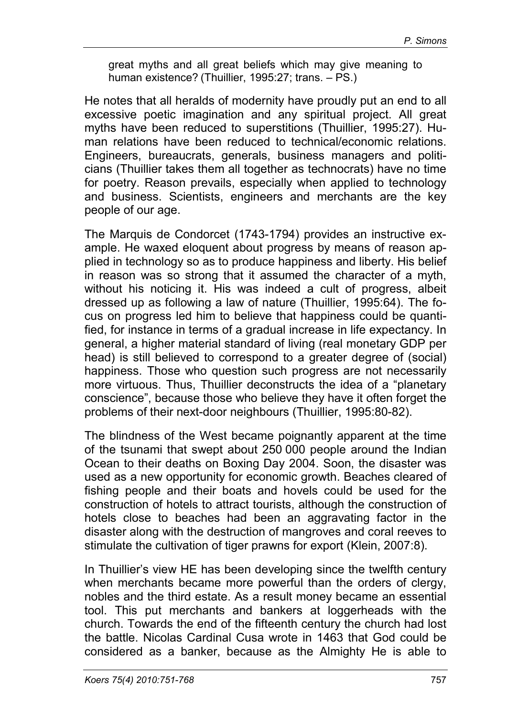great myths and all great beliefs which may give meaning to human existence? (Thuillier, 1995:27; trans. – PS.)

He notes that all heralds of modernity have proudly put an end to all excessive poetic imagination and any spiritual project. All great myths have been reduced to superstitions (Thuillier, 1995:27). Human relations have been reduced to technical/economic relations. Engineers, bureaucrats, generals, business managers and politicians (Thuillier takes them all together as technocrats) have no time for poetry. Reason prevails, especially when applied to technology and business. Scientists, engineers and merchants are the key people of our age.

The Marquis de Condorcet (1743-1794) provides an instructive example. He waxed eloquent about progress by means of reason applied in technology so as to produce happiness and liberty. His belief in reason was so strong that it assumed the character of a myth, without his noticing it. His was indeed a cult of progress, albeit dressed up as following a law of nature (Thuillier, 1995:64). The focus on progress led him to believe that happiness could be quantified, for instance in terms of a gradual increase in life expectancy. In general, a higher material standard of living (real monetary GDP per head) is still believed to correspond to a greater degree of (social) happiness. Those who question such progress are not necessarily more virtuous. Thus, Thuillier deconstructs the idea of a "planetary conscience", because those who believe they have it often forget the problems of their next-door neighbours (Thuillier, 1995:80-82).

The blindness of the West became poignantly apparent at the time of the tsunami that swept about 250 000 people around the Indian Ocean to their deaths on Boxing Day 2004. Soon, the disaster was used as a new opportunity for economic growth. Beaches cleared of fishing people and their boats and hovels could be used for the construction of hotels to attract tourists, although the construction of hotels close to beaches had been an aggravating factor in the disaster along with the destruction of mangroves and coral reeves to stimulate the cultivation of tiger prawns for export (Klein, 2007:8).

In Thuillier's view HE has been developing since the twelfth century when merchants became more powerful than the orders of clergy, nobles and the third estate. As a result money became an essential tool. This put merchants and bankers at loggerheads with the church. Towards the end of the fifteenth century the church had lost the battle. Nicolas Cardinal Cusa wrote in 1463 that God could be considered as a banker, because as the Almighty He is able to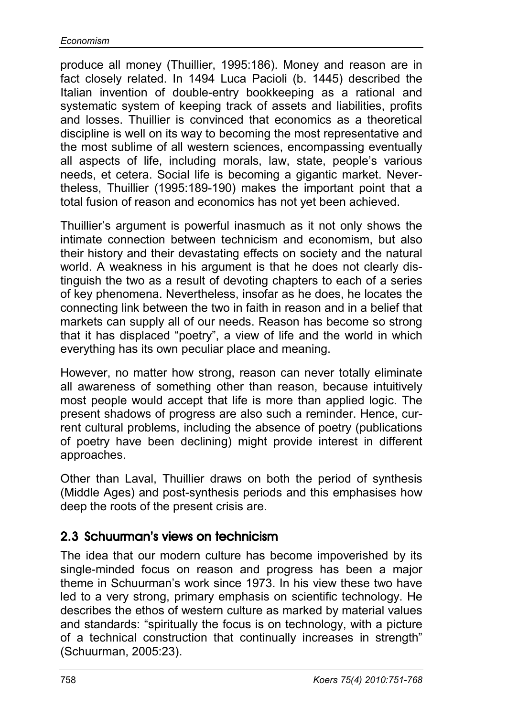produce all money (Thuillier, 1995:186). Money and reason are in fact closely related. In 1494 Luca Pacioli (b. 1445) described the Italian invention of double-entry bookkeeping as a rational and systematic system of keeping track of assets and liabilities, profits and losses. Thuillier is convinced that economics as a theoretical discipline is well on its way to becoming the most representative and the most sublime of all western sciences, encompassing eventually all aspects of life, including morals, law, state, people's various needs, et cetera. Social life is becoming a gigantic market. Nevertheless, Thuillier (1995:189-190) makes the important point that a total fusion of reason and economics has not yet been achieved.

Thuillier's argument is powerful inasmuch as it not only shows the intimate connection between technicism and economism, but also their history and their devastating effects on society and the natural world. A weakness in his argument is that he does not clearly distinguish the two as a result of devoting chapters to each of a series of key phenomena. Nevertheless, insofar as he does, he locates the connecting link between the two in faith in reason and in a belief that markets can supply all of our needs. Reason has become so strong that it has displaced "poetry", a view of life and the world in which everything has its own peculiar place and meaning.

However, no matter how strong, reason can never totally eliminate all awareness of something other than reason, because intuitively most people would accept that life is more than applied logic. The present shadows of progress are also such a reminder. Hence, current cultural problems, including the absence of poetry (publications of poetry have been declining) might provide interest in different approaches.

Other than Laval, Thuillier draws on both the period of synthesis (Middle Ages) and post-synthesis periods and this emphasises how deep the roots of the present crisis are.

### 2.3 Schuurman's views on technicism

The idea that our modern culture has become impoverished by its single-minded focus on reason and progress has been a major theme in Schuurman's work since 1973. In his view these two have led to a very strong, primary emphasis on scientific technology. He describes the ethos of western culture as marked by material values and standards: "spiritually the focus is on technology, with a picture of a technical construction that continually increases in strength" (Schuurman, 2005:23).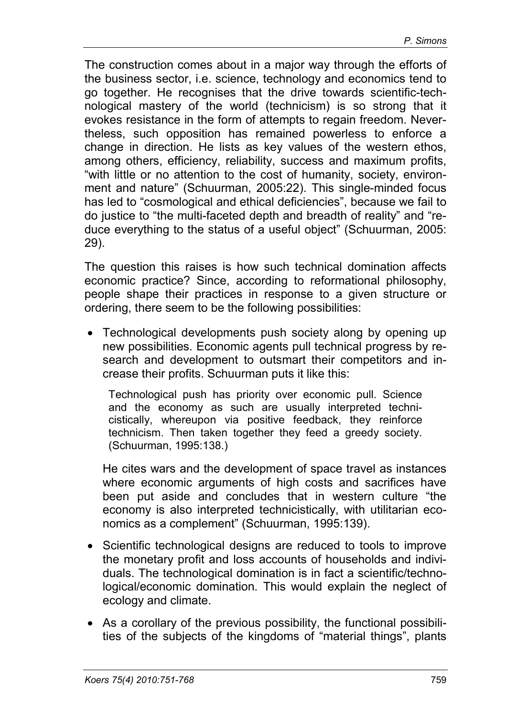The construction comes about in a major way through the efforts of the business sector, i.e. science, technology and economics tend to go together. He recognises that the drive towards scientific-technological mastery of the world (technicism) is so strong that it evokes resistance in the form of attempts to regain freedom. Nevertheless, such opposition has remained powerless to enforce a change in direction. He lists as key values of the western ethos, among others, efficiency, reliability, success and maximum profits, "with little or no attention to the cost of humanity, society, environment and nature" (Schuurman, 2005:22). This single-minded focus has led to "cosmological and ethical deficiencies", because we fail to do justice to "the multi-faceted depth and breadth of reality" and "reduce everything to the status of a useful object" (Schuurman, 2005: 29).

The question this raises is how such technical domination affects economic practice? Since, according to reformational philosophy, people shape their practices in response to a given structure or ordering, there seem to be the following possibilities:

• Technological developments push society along by opening up new possibilities. Economic agents pull technical progress by research and development to outsmart their competitors and increase their profits. Schuurman puts it like this:

Technological push has priority over economic pull. Science and the economy as such are usually interpreted technicistically, whereupon via positive feedback, they reinforce technicism. Then taken together they feed a greedy society. (Schuurman, 1995:138.)

He cites wars and the development of space travel as instances where economic arguments of high costs and sacrifices have been put aside and concludes that in western culture "the economy is also interpreted technicistically, with utilitarian economics as a complement" (Schuurman, 1995:139).

- Scientific technological designs are reduced to tools to improve the monetary profit and loss accounts of households and individuals. The technological domination is in fact a scientific/technological/economic domination. This would explain the neglect of ecology and climate.
- As a corollary of the previous possibility, the functional possibilities of the subjects of the kingdoms of "material things", plants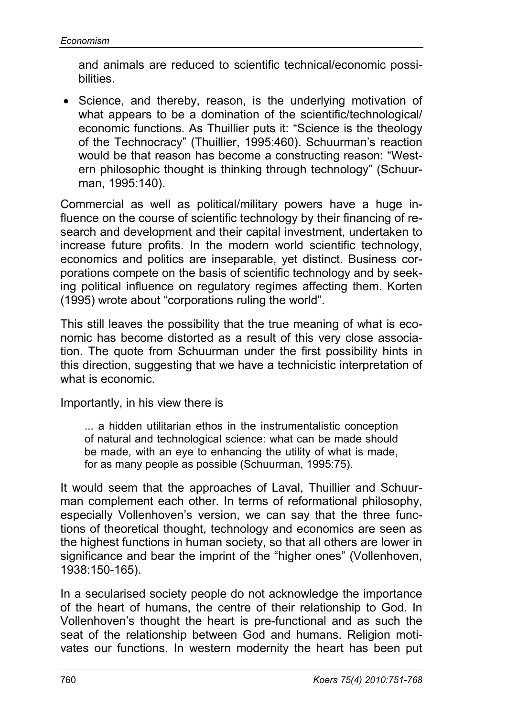and animals are reduced to scientific technical/economic possibilities.

• Science, and thereby, reason, is the underlying motivation of what appears to be a domination of the scientific/technological/ economic functions. As Thuillier puts it: "Science is the theology of the Technocracy" (Thuillier, 1995:460). Schuurman's reaction would be that reason has become a constructing reason: "Western philosophic thought is thinking through technology" (Schuurman, 1995:140).

Commercial as well as political/military powers have a huge influence on the course of scientific technology by their financing of research and development and their capital investment, undertaken to increase future profits. In the modern world scientific technology, economics and politics are inseparable, yet distinct. Business corporations compete on the basis of scientific technology and by seeking political influence on regulatory regimes affecting them. Korten (1995) wrote about "corporations ruling the world".

This still leaves the possibility that the true meaning of what is economic has become distorted as a result of this very close association. The quote from Schuurman under the first possibility hints in this direction, suggesting that we have a technicistic interpretation of what is economic.

Importantly, in his view there is

... a hidden utilitarian ethos in the instrumentalistic conception of natural and technological science: what can be made should be made, with an eye to enhancing the utility of what is made, for as many people as possible (Schuurman, 1995:75).

It would seem that the approaches of Laval, Thuillier and Schuurman complement each other. In terms of reformational philosophy, especially Vollenhoven's version, we can say that the three functions of theoretical thought, technology and economics are seen as the highest functions in human society, so that all others are lower in significance and bear the imprint of the "higher ones" (Vollenhoven, 1938:150-165).

In a secularised society people do not acknowledge the importance of the heart of humans, the centre of their relationship to God. In Vollenhoven's thought the heart is pre-functional and as such the seat of the relationship between God and humans. Religion motivates our functions. In western modernity the heart has been put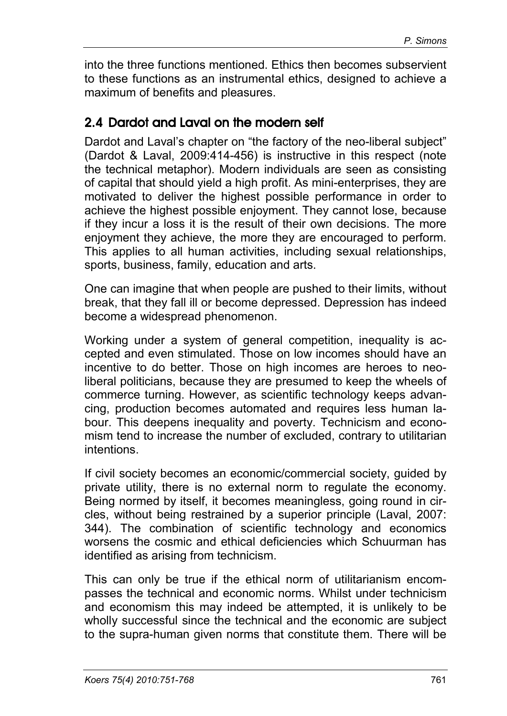into the three functions mentioned. Ethics then becomes subservient to these functions as an instrumental ethics, designed to achieve a maximum of benefits and pleasures.

### 2.4 Dardot and Laval on the modern self

Dardot and Laval's chapter on "the factory of the neo-liberal subject" (Dardot & Laval, 2009:414-456) is instructive in this respect (note the technical metaphor). Modern individuals are seen as consisting of capital that should yield a high profit. As mini-enterprises, they are motivated to deliver the highest possible performance in order to achieve the highest possible enjoyment. They cannot lose, because if they incur a loss it is the result of their own decisions. The more enjoyment they achieve, the more they are encouraged to perform. This applies to all human activities, including sexual relationships, sports, business, family, education and arts.

One can imagine that when people are pushed to their limits, without break, that they fall ill or become depressed. Depression has indeed become a widespread phenomenon.

Working under a system of general competition, inequality is accepted and even stimulated. Those on low incomes should have an incentive to do better. Those on high incomes are heroes to neoliberal politicians, because they are presumed to keep the wheels of commerce turning. However, as scientific technology keeps advancing, production becomes automated and requires less human labour. This deepens inequality and poverty. Technicism and economism tend to increase the number of excluded, contrary to utilitarian intentions.

If civil society becomes an economic/commercial society, guided by private utility, there is no external norm to regulate the economy. Being normed by itself, it becomes meaningless, going round in circles, without being restrained by a superior principle (Laval, 2007: 344). The combination of scientific technology and economics worsens the cosmic and ethical deficiencies which Schuurman has identified as arising from technicism.

This can only be true if the ethical norm of utilitarianism encompasses the technical and economic norms. Whilst under technicism and economism this may indeed be attempted, it is unlikely to be wholly successful since the technical and the economic are subject to the supra-human given norms that constitute them. There will be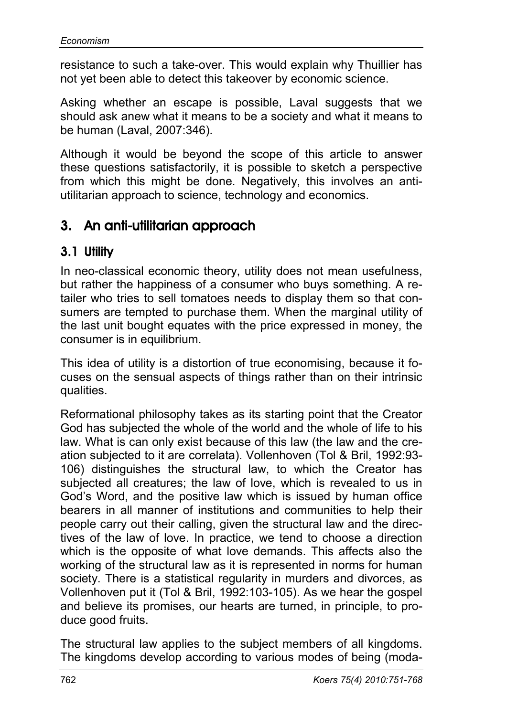resistance to such a take-over. This would explain why Thuillier has not yet been able to detect this takeover by economic science.

Asking whether an escape is possible, Laval suggests that we should ask anew what it means to be a society and what it means to be human (Laval, 2007:346).

Although it would be beyond the scope of this article to answer these questions satisfactorily, it is possible to sketch a perspective from which this might be done. Negatively, this involves an antiutilitarian approach to science, technology and economics.

# 3. An anti-utilitarian approach

# 3.1 Utility

In neo-classical economic theory, utility does not mean usefulness, but rather the happiness of a consumer who buys something. A retailer who tries to sell tomatoes needs to display them so that consumers are tempted to purchase them. When the marginal utility of the last unit bought equates with the price expressed in money, the consumer is in equilibrium.

This idea of utility is a distortion of true economising, because it focuses on the sensual aspects of things rather than on their intrinsic qualities.

Reformational philosophy takes as its starting point that the Creator God has subjected the whole of the world and the whole of life to his law. What is can only exist because of this law (the law and the creation subjected to it are correlata). Vollenhoven (Tol & Bril, 1992:93- 106) distinguishes the structural law, to which the Creator has subjected all creatures; the law of love, which is revealed to us in God's Word, and the positive law which is issued by human office bearers in all manner of institutions and communities to help their people carry out their calling, given the structural law and the directives of the law of love. In practice, we tend to choose a direction which is the opposite of what love demands. This affects also the working of the structural law as it is represented in norms for human society. There is a statistical regularity in murders and divorces, as Vollenhoven put it (Tol & Bril, 1992:103-105). As we hear the gospel and believe its promises, our hearts are turned, in principle, to produce good fruits.

The structural law applies to the subject members of all kingdoms. The kingdoms develop according to various modes of being (moda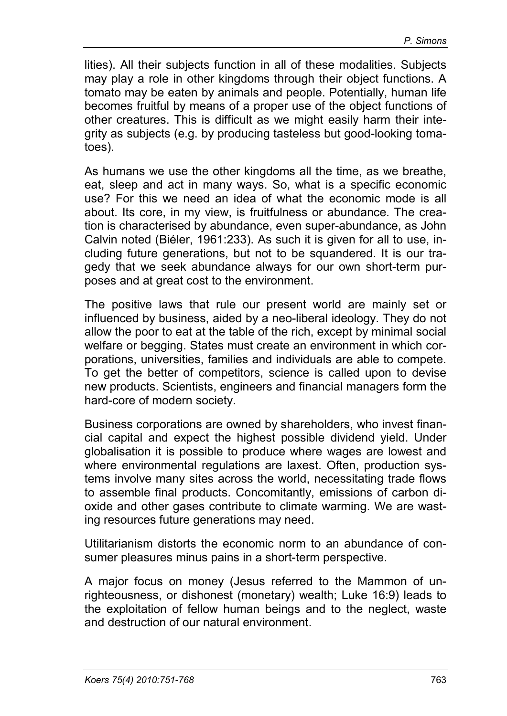lities). All their subjects function in all of these modalities. Subjects may play a role in other kingdoms through their object functions. A tomato may be eaten by animals and people. Potentially, human life becomes fruitful by means of a proper use of the object functions of other creatures. This is difficult as we might easily harm their integrity as subjects (e.g. by producing tasteless but good-looking tomatoes).

As humans we use the other kingdoms all the time, as we breathe, eat, sleep and act in many ways. So, what is a specific economic use? For this we need an idea of what the economic mode is all about. Its core, in my view, is fruitfulness or abundance. The creation is characterised by abundance, even super-abundance, as John Calvin noted (Biéler, 1961:233). As such it is given for all to use, including future generations, but not to be squandered. It is our tragedy that we seek abundance always for our own short-term purposes and at great cost to the environment.

The positive laws that rule our present world are mainly set or influenced by business, aided by a neo-liberal ideology. They do not allow the poor to eat at the table of the rich, except by minimal social welfare or begging. States must create an environment in which corporations, universities, families and individuals are able to compete. To get the better of competitors, science is called upon to devise new products. Scientists, engineers and financial managers form the hard-core of modern society.

Business corporations are owned by shareholders, who invest financial capital and expect the highest possible dividend yield. Under globalisation it is possible to produce where wages are lowest and where environmental regulations are laxest. Often, production systems involve many sites across the world, necessitating trade flows to assemble final products. Concomitantly, emissions of carbon dioxide and other gases contribute to climate warming. We are wasting resources future generations may need.

Utilitarianism distorts the economic norm to an abundance of consumer pleasures minus pains in a short-term perspective.

A major focus on money (Jesus referred to the Mammon of unrighteousness, or dishonest (monetary) wealth; Luke 16:9) leads to the exploitation of fellow human beings and to the neglect, waste and destruction of our natural environment.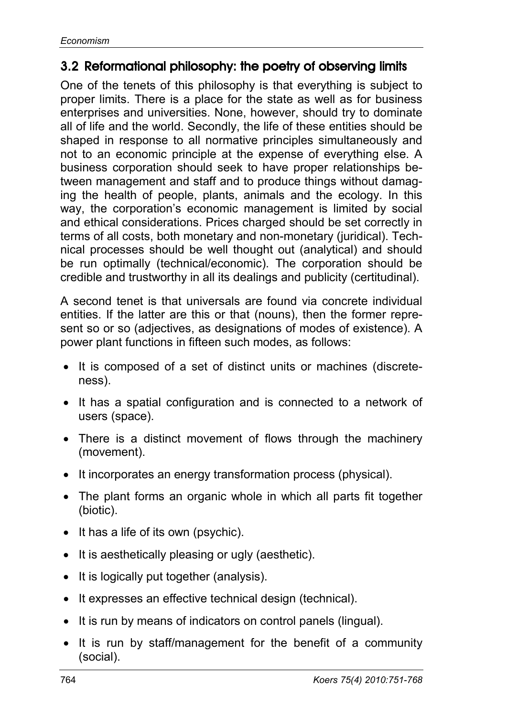### 3.2 Reformational philosophy: the poetry of observing limits

One of the tenets of this philosophy is that everything is subject to proper limits. There is a place for the state as well as for business enterprises and universities. None, however, should try to dominate all of life and the world. Secondly, the life of these entities should be shaped in response to all normative principles simultaneously and not to an economic principle at the expense of everything else. A business corporation should seek to have proper relationships between management and staff and to produce things without damaging the health of people, plants, animals and the ecology. In this way, the corporation's economic management is limited by social and ethical considerations. Prices charged should be set correctly in terms of all costs, both monetary and non-monetary (juridical). Technical processes should be well thought out (analytical) and should be run optimally (technical/economic). The corporation should be credible and trustworthy in all its dealings and publicity (certitudinal).

A second tenet is that universals are found via concrete individual entities. If the latter are this or that (nouns), then the former represent so or so (adjectives, as designations of modes of existence). A power plant functions in fifteen such modes, as follows:

- It is composed of a set of distinct units or machines (discreteness).
- It has a spatial configuration and is connected to a network of users (space).
- There is a distinct movement of flows through the machinery (movement).
- It incorporates an energy transformation process (physical).
- The plant forms an organic whole in which all parts fit together (biotic).
- It has a life of its own (psychic).
- It is aesthetically pleasing or ugly (aesthetic).
- It is logically put together (analysis).
- It expresses an effective technical design (technical).
- It is run by means of indicators on control panels (lingual).
- It is run by staff/management for the benefit of a community (social).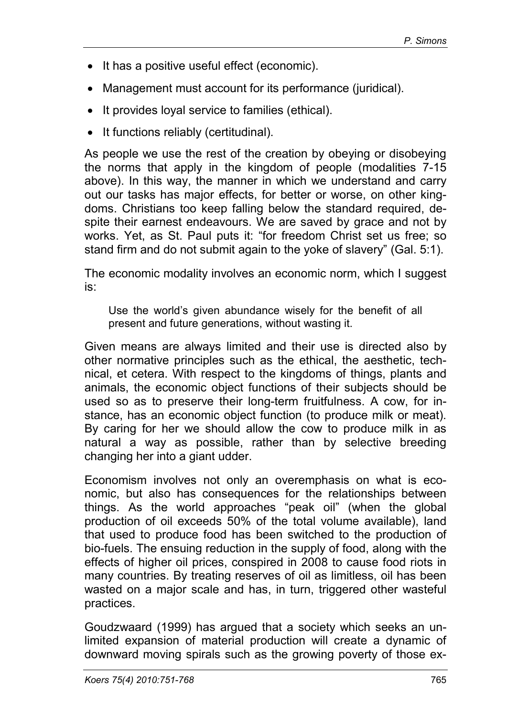- It has a positive useful effect (economic).
- Management must account for its performance (juridical).
- It provides loyal service to families (ethical).
- It functions reliably (certitudinal).

As people we use the rest of the creation by obeying or disobeying the norms that apply in the kingdom of people (modalities 7-15 above). In this way, the manner in which we understand and carry out our tasks has major effects, for better or worse, on other kingdoms. Christians too keep falling below the standard required, despite their earnest endeavours. We are saved by grace and not by works. Yet, as St. Paul puts it: "for freedom Christ set us free; so stand firm and do not submit again to the yoke of slavery" (Gal. 5:1).

The economic modality involves an economic norm, which I suggest is:

Use the world's given abundance wisely for the benefit of all present and future generations, without wasting it.

Given means are always limited and their use is directed also by other normative principles such as the ethical, the aesthetic, technical, et cetera. With respect to the kingdoms of things, plants and animals, the economic object functions of their subjects should be used so as to preserve their long-term fruitfulness. A cow, for instance, has an economic object function (to produce milk or meat). By caring for her we should allow the cow to produce milk in as natural a way as possible, rather than by selective breeding changing her into a giant udder.

Economism involves not only an overemphasis on what is economic, but also has consequences for the relationships between things. As the world approaches "peak oil" (when the global production of oil exceeds 50% of the total volume available), land that used to produce food has been switched to the production of bio-fuels. The ensuing reduction in the supply of food, along with the effects of higher oil prices, conspired in 2008 to cause food riots in many countries. By treating reserves of oil as limitless, oil has been wasted on a major scale and has, in turn, triggered other wasteful practices.

Goudzwaard (1999) has argued that a society which seeks an unlimited expansion of material production will create a dynamic of downward moving spirals such as the growing poverty of those ex-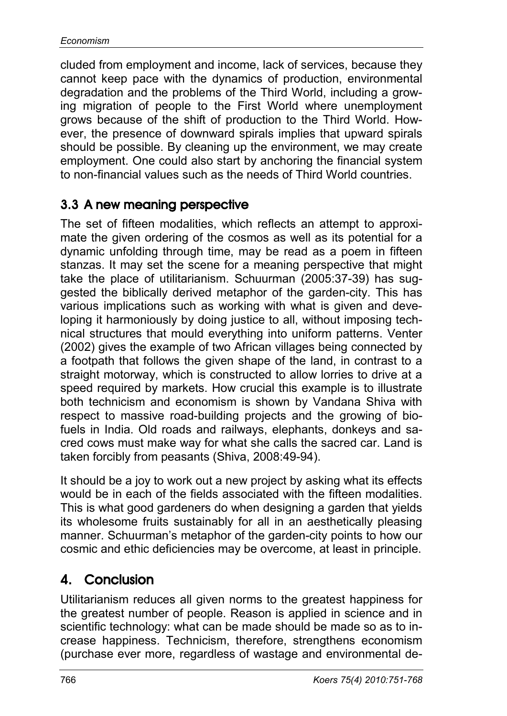cluded from employment and income, lack of services, because they cannot keep pace with the dynamics of production, environmental degradation and the problems of the Third World, including a growing migration of people to the First World where unemployment grows because of the shift of production to the Third World. However, the presence of downward spirals implies that upward spirals should be possible. By cleaning up the environment, we may create employment. One could also start by anchoring the financial system to non-financial values such as the needs of Third World countries.

# 3.3 A new meaning perspective

The set of fifteen modalities, which reflects an attempt to approximate the given ordering of the cosmos as well as its potential for a dynamic unfolding through time, may be read as a poem in fifteen stanzas. It may set the scene for a meaning perspective that might take the place of utilitarianism. Schuurman (2005:37-39) has suggested the biblically derived metaphor of the garden-city. This has various implications such as working with what is given and developing it harmoniously by doing justice to all, without imposing technical structures that mould everything into uniform patterns. Venter (2002) gives the example of two African villages being connected by a footpath that follows the given shape of the land, in contrast to a straight motorway, which is constructed to allow lorries to drive at a speed required by markets. How crucial this example is to illustrate both technicism and economism is shown by Vandana Shiva with respect to massive road-building projects and the growing of biofuels in India. Old roads and railways, elephants, donkeys and sacred cows must make way for what she calls the sacred car. Land is taken forcibly from peasants (Shiva, 2008:49-94).

It should be a joy to work out a new project by asking what its effects would be in each of the fields associated with the fifteen modalities. This is what good gardeners do when designing a garden that yields its wholesome fruits sustainably for all in an aesthetically pleasing manner. Schuurman's metaphor of the garden-city points to how our cosmic and ethic deficiencies may be overcome, at least in principle.

# 4. Conclusion

Utilitarianism reduces all given norms to the greatest happiness for the greatest number of people. Reason is applied in science and in scientific technology: what can be made should be made so as to increase happiness. Technicism, therefore, strengthens economism (purchase ever more, regardless of wastage and environmental de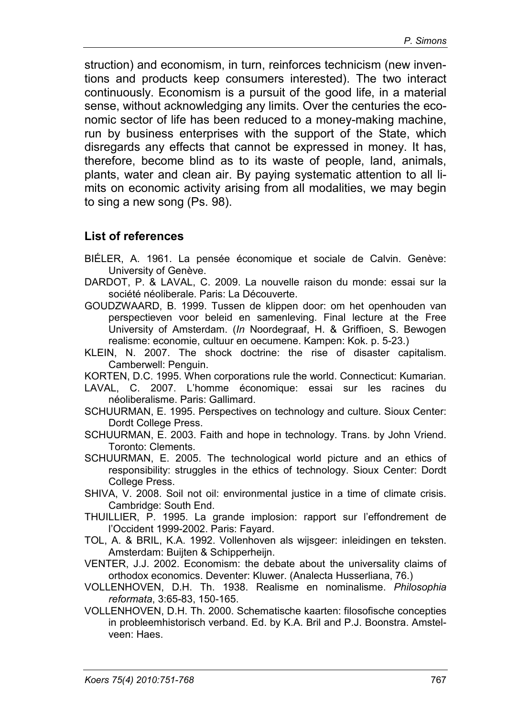struction) and economism, in turn, reinforces technicism (new inventions and products keep consumers interested). The two interact continuously. Economism is a pursuit of the good life, in a material sense, without acknowledging any limits. Over the centuries the economic sector of life has been reduced to a money-making machine, run by business enterprises with the support of the State, which disregards any effects that cannot be expressed in money. It has, therefore, become blind as to its waste of people, land, animals, plants, water and clean air. By paying systematic attention to all limits on economic activity arising from all modalities, we may begin to sing a new song (Ps. 98).

#### **List of references**

- BIÉLER, A. 1961. La pensée économique et sociale de Calvin. Genève: University of Genève.
- DARDOT, P. & LAVAL, C. 2009. La nouvelle raison du monde: essai sur la société néoliberale. Paris: La Découverte.
- GOUDZWAARD, B. 1999. Tussen de klippen door: om het openhouden van perspectieven voor beleid en samenleving. Final lecture at the Free University of Amsterdam. (*In* Noordegraaf, H. & Griffioen, S. Bewogen realisme: economie, cultuur en oecumene. Kampen: Kok. p. 5-23.)
- KLEIN, N. 2007. The shock doctrine: the rise of disaster capitalism. Camberwell: Penguin.

KORTEN, D.C. 1995. When corporations rule the world. Connecticut: Kumarian.

- LAVAL, C. 2007. L'homme économique: essai sur les racines du néoliberalisme. Paris: Gallimard.
- SCHUURMAN, E. 1995. Perspectives on technology and culture. Sioux Center: Dordt College Press.
- SCHUURMAN, E. 2003. Faith and hope in technology. Trans. by John Vriend. Toronto: Clements.
- SCHUURMAN, E. 2005. The technological world picture and an ethics of responsibility: struggles in the ethics of technology. Sioux Center: Dordt College Press.
- SHIVA, V. 2008. Soil not oil: environmental justice in a time of climate crisis. Cambridge: South End.
- THUILLIER, P. 1995. La grande implosion: rapport sur l'effondrement de l'Occident 1999-2002. Paris: Fayard.
- TOL, A. & BRIL, K.A. 1992. Vollenhoven als wijsgeer: inleidingen en teksten. Amsterdam: Buijten & Schipperheijn.
- VENTER, J.J. 2002. Economism: the debate about the universality claims of orthodox economics. Deventer: Kluwer. (Analecta Husserliana, 76.)
- VOLLENHOVEN, D.H. Th. 1938. Realisme en nominalisme. *Philosophia reformata*, 3:65-83, 150-165.
- VOLLENHOVEN, D.H. Th. 2000. Schematische kaarten: filosofische concepties in probleemhistorisch verband. Ed. by K.A. Bril and P.J. Boonstra. Amstelveen: Haes.